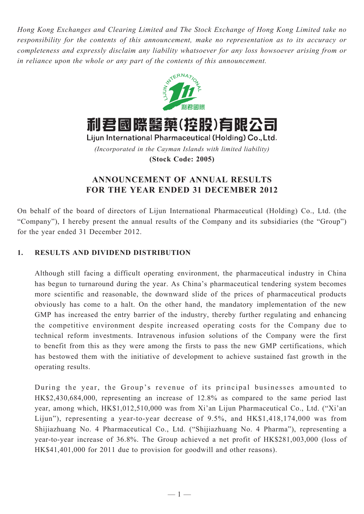*Hong Kong Exchanges and Clearing Limited and The Stock Exchange of Hong Kong Limited take no responsibility for the contents of this announcement, make no representation as to its accuracy or completeness and expressly disclaim any liability whatsoever for any loss howsoever arising from or in reliance upon the whole or any part of the contents of this announcement.*



*(Incorporated in the Cayman Islands with limited liability)* **(Stock Code: 2005)**

# **ANNOUNCEMENT OF ANNUAL RESULTS FOR THE YEAR ENDED 31 DECEMBER 2012**

On behalf of the board of directors of Lijun International Pharmaceutical (Holding) Co., Ltd. (the "Company"), I hereby present the annual results of the Company and its subsidiaries (the "Group") for the year ended 31 December 2012.

# **1. Results and dividend distribution**

Although still facing a difficult operating environment, the pharmaceutical industry in China has begun to turnaround during the year. As China's pharmaceutical tendering system becomes more scientific and reasonable, the downward slide of the prices of pharmaceutical products obviously has come to a halt. On the other hand, the mandatory implementation of the new GMP has increased the entry barrier of the industry, thereby further regulating and enhancing the competitive environment despite increased operating costs for the Company due to technical reform investments. Intravenous infusion solutions of the Company were the first to benefit from this as they were among the firsts to pass the new GMP certifications, which has bestowed them with the initiative of development to achieve sustained fast growth in the operating results.

During the year, the Group's revenue of its principal businesses amounted to HK\$2,430,684,000, representing an increase of 12.8% as compared to the same period last year, among which, HK\$1,012,510,000 was from Xi'an Lijun Pharmaceutical Co., Ltd. ("Xi'an Lijun"), representing a year-to-year decrease of 9.5%, and HK\$1,418,174,000 was from Shijiazhuang No. 4 Pharmaceutical Co., Ltd. ("Shijiazhuang No. 4 Pharma"), representing a year-to-year increase of 36.8%. The Group achieved a net profit of HK\$281,003,000 (loss of HK\$41,401,000 for 2011 due to provision for goodwill and other reasons).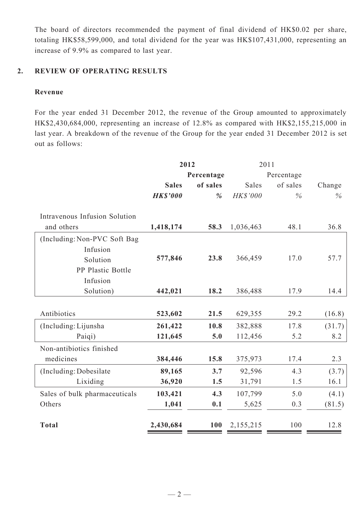The board of directors recommended the payment of final dividend of HK\$0.02 per share, totaling HK\$58,599,000, and total dividend for the year was HK\$107,431,000, representing an increase of 9.9% as compared to last year.

## **2. Review of operating results**

## **Revenue**

For the year ended 31 December 2012, the revenue of the Group amounted to approximately HK\$2,430,684,000, representing an increase of 12.8% as compared with HK\$2,155,215,000 in last year. A breakdown of the revenue of the Group for the year ended 31 December 2012 is set out as follows:

|                               | 2012            |               |           | 2011       |        |  |
|-------------------------------|-----------------|---------------|-----------|------------|--------|--|
|                               |                 | Percentage    |           | Percentage |        |  |
|                               | <b>Sales</b>    | of sales      | Sales     | of sales   | Change |  |
|                               | <b>HK\$'000</b> | $\frac{9}{6}$ | HK\$'000  | $\%$       | $\%$   |  |
|                               |                 |               |           |            |        |  |
| Intravenous Infusion Solution |                 |               |           |            |        |  |
| and others                    | 1,418,174       | 58.3          | 1,036,463 | 48.1       | 36.8   |  |
| (Including: Non-PVC Soft Bag  |                 |               |           |            |        |  |
| Infusion                      |                 |               |           |            |        |  |
| Solution                      | 577,846         | 23.8          | 366,459   | 17.0       | 57.7   |  |
| PP Plastic Bottle             |                 |               |           |            |        |  |
| Infusion                      |                 |               |           |            |        |  |
| Solution)                     | 442,021         | 18.2          | 386,488   | 17.9       | 14.4   |  |
|                               |                 |               |           |            |        |  |
| Antibiotics                   | 523,602         | 21.5          | 629,355   | 29.2       | (16.8) |  |
| (Including: Lijunsha          | 261,422         | 10.8          | 382,888   | 17.8       | (31.7) |  |
| Paiqi)                        | 121,645         | 5.0           | 112,456   | 5.2        | 8.2    |  |
| Non-antibiotics finished      |                 |               |           |            |        |  |
| medicines                     | 384,446         | 15.8          | 375,973   | 17.4       | 2.3    |  |
| (Including: Dobesilate)       | 89,165          | 3.7           | 92,596    | 4.3        | (3.7)  |  |
| Lixiding                      | 36,920          | 1.5           | 31,791    | 1.5        | 16.1   |  |
| Sales of bulk pharmaceuticals | 103,421         | 4.3           | 107,799   | 5.0        | (4.1)  |  |
| Others                        | 1,041           | 0.1           | 5,625     | 0.3        | (81.5) |  |
|                               |                 |               |           |            |        |  |
| <b>Total</b>                  | 2,430,684       | <b>100</b>    | 2,155,215 | 100        | 12.8   |  |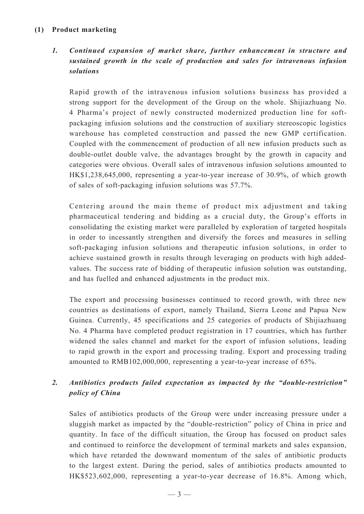## **(1) Product marketing**

# *1. Continued expansion of market share, further enhancement in structure and sustained growth in the scale of production and sales for intravenous infusion solutions*

Rapid growth of the intravenous infusion solutions business has provided a strong support for the development of the Group on the whole. Shijiazhuang No. 4 Pharma's project of newly constructed modernized production line for softpackaging infusion solutions and the construction of auxiliary stereoscopic logistics warehouse has completed construction and passed the new GMP certification. Coupled with the commencement of production of all new infusion products such as double-outlet double valve, the advantages brought by the growth in capacity and categories were obvious. Overall sales of intravenous infusion solutions amounted to HK\$1,238,645,000, representing a year-to-year increase of 30.9%, of which growth of sales of soft-packaging infusion solutions was 57.7%.

Centering around the main theme of product mix adjustment and taking pharmaceutical tendering and bidding as a crucial duty, the Group's efforts in consolidating the existing market were paralleled by exploration of targeted hospitals in order to incessantly strengthen and diversify the forces and measures in selling soft-packaging infusion solutions and therapeutic infusion solutions, in order to achieve sustained growth in results through leveraging on products with high addedvalues. The success rate of bidding of therapeutic infusion solution was outstanding, and has fuelled and enhanced adjustments in the product mix.

The export and processing businesses continued to record growth, with three new countries as destinations of export, namely Thailand, Sierra Leone and Papua New Guinea. Currently, 45 specifications and 25 categories of products of Shijiazhuang No. 4 Pharma have completed product registration in 17 countries, which has further widened the sales channel and market for the export of infusion solutions, leading to rapid growth in the export and processing trading. Export and processing trading amounted to RMB102,000,000, representing a year-to-year increase of 65%.

# *2. Antibiotics products failed expectation as impacted by the "double-restriction" policy of China*

Sales of antibiotics products of the Group were under increasing pressure under a sluggish market as impacted by the "double-restriction" policy of China in price and quantity. In face of the difficult situation, the Group has focused on product sales and continued to reinforce the development of terminal markets and sales expansion, which have retarded the downward momentum of the sales of antibiotic products to the largest extent. During the period, sales of antibiotics products amounted to HK\$523,602,000, representing a year-to-year decrease of 16.8%. Among which,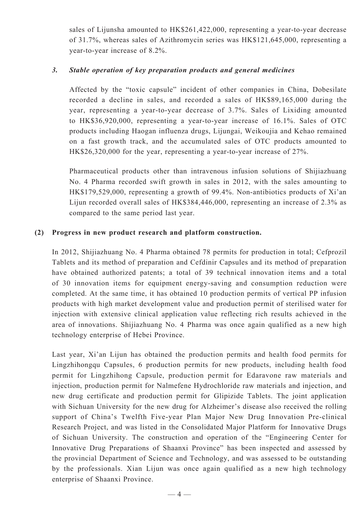sales of Lijunsha amounted to HK\$261,422,000, representing a year-to-year decrease of 31.7%, whereas sales of Azithromycin series was HK\$121,645,000, representing a year-to-year increase of 8.2%.

## *3. Stable operation of key preparation products and general medicines*

Affected by the "toxic capsule" incident of other companies in China, Dobesilate recorded a decline in sales, and recorded a sales of HK\$89,165,000 during the year, representing a year-to-year decrease of 3.7%. Sales of Lixiding amounted to HK\$36,920,000, representing a year-to-year increase of 16.1%. Sales of OTC products including Haogan influenza drugs, Lijungai, Weikoujia and Kehao remained on a fast growth track, and the accumulated sales of OTC products amounted to HK\$26,320,000 for the year, representing a year-to-year increase of 27%.

Pharmaceutical products other than intravenous infusion solutions of Shijiazhuang No. 4 Pharma recorded swift growth in sales in 2012, with the sales amounting to HK\$179,529,000, representing a growth of 99.4%. Non-antibiotics products of Xi'an Lijun recorded overall sales of HK\$384,446,000, representing an increase of 2.3% as compared to the same period last year.

## **(2) Progress in new product research and platform construction.**

In 2012, Shijiazhuang No. 4 Pharma obtained 78 permits for production in total; Cefprozil Tablets and its method of preparation and Cefdinir Capsules and its method of preparation have obtained authorized patents; a total of 39 technical innovation items and a total of 30 innovation items for equipment energy-saving and consumption reduction were completed. At the same time, it has obtained 10 production permits of vertical PP infusion products with high market development value and production permit of sterilised water for injection with extensive clinical application value reflecting rich results achieved in the area of innovations. Shijiazhuang No. 4 Pharma was once again qualified as a new high technology enterprise of Hebei Province.

Last year, Xi'an Lijun has obtained the production permits and health food permits for Lingzhihongqu Capsules, 6 production permits for new products, including health food permit for Lingzhihong Capsule, production permit for Edaravone raw materials and injection, production permit for Nalmefene Hydrochloride raw materials and injection, and new drug certificate and production permit for Glipizide Tablets. The joint application with Sichuan University for the new drug for Alzheimer's disease also received the rolling support of China's Twelfth Five-year Plan Major New Drug Innovation Pre-clinical Research Project, and was listed in the Consolidated Major Platform for Innovative Drugs of Sichuan University. The construction and operation of the "Engineering Center for Innovative Drug Preparations of Shaanxi Province" has been inspected and assessed by the provincial Department of Science and Technology, and was assessed to be outstanding by the professionals. Xian Lijun was once again qualified as a new high technology enterprise of Shaanxi Province.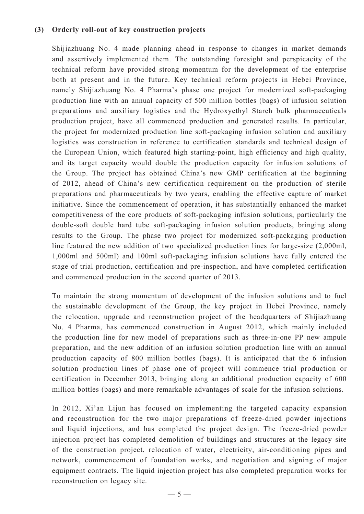## **(3) Orderly roll-out of key construction projects**

Shijiazhuang No. 4 made planning ahead in response to changes in market demands and assertively implemented them. The outstanding foresight and perspicacity of the technical reform have provided strong momentum for the development of the enterprise both at present and in the future. Key technical reform projects in Hebei Province, namely Shijiazhuang No. 4 Pharma's phase one project for modernized soft-packaging production line with an annual capacity of 500 million bottles (bags) of infusion solution preparations and auxiliary logistics and the Hydroxyethyl Starch bulk pharmaceuticals production project, have all commenced production and generated results. In particular, the project for modernized production line soft-packaging infusion solution and auxiliary logistics was construction in reference to certification standards and technical design of the European Union, which featured high starting-point, high efficiency and high quality, and its target capacity would double the production capacity for infusion solutions of the Group. The project has obtained China's new GMP certification at the beginning of 2012, ahead of China's new certification requirement on the production of sterile preparations and pharmaceuticals by two years, enabling the effective capture of market initiative. Since the commencement of operation, it has substantially enhanced the market competitiveness of the core products of soft-packaging infusion solutions, particularly the double-soft double hard tube soft-packaging infusion solution products, bringing along results to the Group. The phase two project for modernized soft-packaging production line featured the new addition of two specialized production lines for large-size (2,000ml, 1,000ml and 500ml) and 100ml soft-packaging infusion solutions have fully entered the stage of trial production, certification and pre-inspection, and have completed certification and commenced production in the second quarter of 2013.

To maintain the strong momentum of development of the infusion solutions and to fuel the sustainable development of the Group, the key project in Hebei Province, namely the relocation, upgrade and reconstruction project of the headquarters of Shijiazhuang No. 4 Pharma, has commenced construction in August 2012, which mainly included the production line for new model of preparations such as three-in-one PP new ampule preparation, and the new addition of an infusion solution production line with an annual production capacity of 800 million bottles (bags). It is anticipated that the 6 infusion solution production lines of phase one of project will commence trial production or certification in December 2013, bringing along an additional production capacity of 600 million bottles (bags) and more remarkable advantages of scale for the infusion solutions.

In 2012, Xi'an Lijun has focused on implementing the targeted capacity expansion and reconstruction for the two major preparations of freeze-dried powder injections and liquid injections, and has completed the project design. The freeze-dried powder injection project has completed demolition of buildings and structures at the legacy site of the construction project, relocation of water, electricity, air-conditioning pipes and network, commencement of foundation works, and negotiation and signing of major equipment contracts. The liquid injection project has also completed preparation works for reconstruction on legacy site.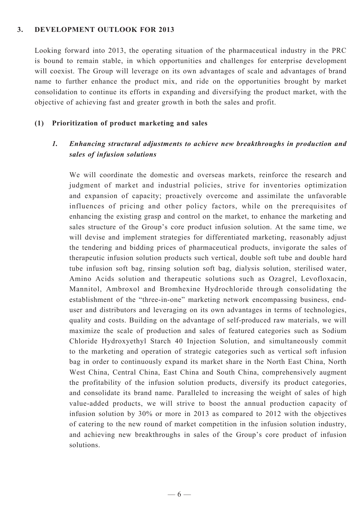### **3. Development outlook for 2013**

Looking forward into 2013, the operating situation of the pharmaceutical industry in the PRC is bound to remain stable, in which opportunities and challenges for enterprise development will coexist. The Group will leverage on its own advantages of scale and advantages of brand name to further enhance the product mix, and ride on the opportunities brought by market consolidation to continue its efforts in expanding and diversifying the product market, with the objective of achieving fast and greater growth in both the sales and profit.

#### **(1) Prioritization of product marketing and sales**

# *1. Enhancing structural adjustments to achieve new breakthroughs in production and sales of infusion solutions*

We will coordinate the domestic and overseas markets, reinforce the research and judgment of market and industrial policies, strive for inventories optimization and expansion of capacity; proactively overcome and assimilate the unfavorable influences of pricing and other policy factors, while on the prerequisites of enhancing the existing grasp and control on the market, to enhance the marketing and sales structure of the Group's core product infusion solution. At the same time, we will devise and implement strategies for differentiated marketing, reasonably adjust the tendering and bidding prices of pharmaceutical products, invigorate the sales of therapeutic infusion solution products such vertical, double soft tube and double hard tube infusion soft bag, rinsing solution soft bag, dialysis solution, sterilised water, Amino Acids solution and therapeutic solutions such as Ozagrel, Levofloxacin, Mannitol, Ambroxol and Bromhexine Hydrochloride through consolidating the establishment of the "three-in-one" marketing network encompassing business, enduser and distributors and leveraging on its own advantages in terms of technologies, quality and costs. Building on the advantage of self-produced raw materials, we will maximize the scale of production and sales of featured categories such as Sodium Chloride Hydroxyethyl Starch 40 Injection Solution, and simultaneously commit to the marketing and operation of strategic categories such as vertical soft infusion bag in order to continuously expand its market share in the North East China, North West China, Central China, East China and South China, comprehensively augment the profitability of the infusion solution products, diversify its product categories, and consolidate its brand name. Paralleled to increasing the weight of sales of high value-added products, we will strive to boost the annual production capacity of infusion solution by 30% or more in 2013 as compared to 2012 with the objectives of catering to the new round of market competition in the infusion solution industry, and achieving new breakthroughs in sales of the Group's core product of infusion solutions.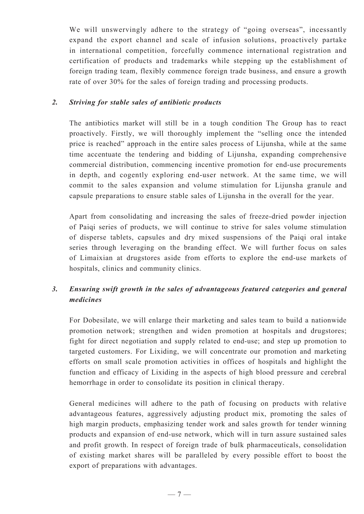We will unswervingly adhere to the strategy of "going overseas", incessantly expand the export channel and scale of infusion solutions, proactively partake in international competition, forcefully commence international registration and certification of products and trademarks while stepping up the establishment of foreign trading team, flexibly commence foreign trade business, and ensure a growth rate of over 30% for the sales of foreign trading and processing products.

## *2. Striving for stable sales of antibiotic products*

The antibiotics market will still be in a tough condition The Group has to react proactively. Firstly, we will thoroughly implement the "selling once the intended price is reached" approach in the entire sales process of Lijunsha, while at the same time accentuate the tendering and bidding of Lijunsha, expanding comprehensive commercial distribution, commencing incentive promotion for end-use procurements in depth, and cogently exploring end-user network. At the same time, we will commit to the sales expansion and volume stimulation for Lijunsha granule and capsule preparations to ensure stable sales of Lijunsha in the overall for the year.

Apart from consolidating and increasing the sales of freeze-dried powder injection of Paiqi series of products, we will continue to strive for sales volume stimulation of disperse tablets, capsules and dry mixed suspensions of the Paiqi oral intake series through leveraging on the branding effect. We will further focus on sales of Limaixian at drugstores aside from efforts to explore the end-use markets of hospitals, clinics and community clinics.

# *3. Ensuring swift growth in the sales of advantageous featured categories and general medicines*

For Dobesilate, we will enlarge their marketing and sales team to build a nationwide promotion network; strengthen and widen promotion at hospitals and drugstores; fight for direct negotiation and supply related to end-use; and step up promotion to targeted customers. For Lixiding, we will concentrate our promotion and marketing efforts on small scale promotion activities in offices of hospitals and highlight the function and efficacy of Lixiding in the aspects of high blood pressure and cerebral hemorrhage in order to consolidate its position in clinical therapy.

General medicines will adhere to the path of focusing on products with relative advantageous features, aggressively adjusting product mix, promoting the sales of high margin products, emphasizing tender work and sales growth for tender winning products and expansion of end-use network, which will in turn assure sustained sales and profit growth. In respect of foreign trade of bulk pharmaceuticals, consolidation of existing market shares will be paralleled by every possible effort to boost the export of preparations with advantages.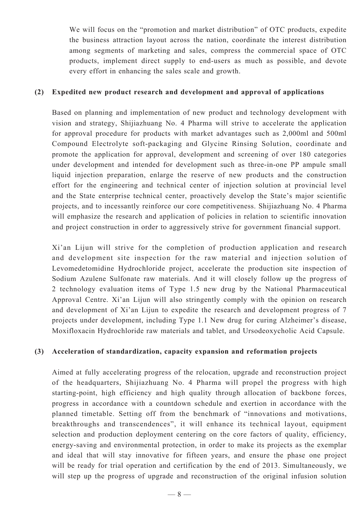We will focus on the "promotion and market distribution" of OTC products, expedite the business attraction layout across the nation, coordinate the interest distribution among segments of marketing and sales, compress the commercial space of OTC products, implement direct supply to end-users as much as possible, and devote every effort in enhancing the sales scale and growth.

### **(2) Expedited new product research and development and approval of applications**

Based on planning and implementation of new product and technology development with vision and strategy, Shijiazhuang No. 4 Pharma will strive to accelerate the application for approval procedure for products with market advantages such as 2,000ml and 500ml Compound Electrolyte soft-packaging and Glycine Rinsing Solution, coordinate and promote the application for approval, development and screening of over 180 categories under development and intended for development such as three-in-one PP ampule small liquid injection preparation, enlarge the reserve of new products and the construction effort for the engineering and technical center of injection solution at provincial level and the State enterprise technical center, proactively develop the State's major scientific projects, and to incessantly reinforce our core competitiveness. Shijiazhuang No. 4 Pharma will emphasize the research and application of policies in relation to scientific innovation and project construction in order to aggressively strive for government financial support.

Xi'an Lijun will strive for the completion of production application and research and development site inspection for the raw material and injection solution of Levomedetomidine Hydrochloride project, accelerate the production site inspection of Sodium Azulene Sulfonate raw materials. And it will closely follow up the progress of 2 technology evaluation items of Type 1.5 new drug by the National Pharmaceutical Approval Centre. Xi'an Lijun will also stringently comply with the opinion on research and development of Xi'an Lijun to expedite the research and development progress of 7 projects under development, including Type 1.1 New drug for curing Alzheimer's disease, Moxifloxacin Hydrochloride raw materials and tablet, and Ursodeoxycholic Acid Capsule.

## **(3) Acceleration of standardization, capacity expansion and reformation projects**

Aimed at fully accelerating progress of the relocation, upgrade and reconstruction project of the headquarters, Shijiazhuang No. 4 Pharma will propel the progress with high starting-point, high efficiency and high quality through allocation of backbone forces, progress in accordance with a countdown schedule and exertion in accordance with the planned timetable. Setting off from the benchmark of "innovations and motivations, breakthroughs and transcendences", it will enhance its technical layout, equipment selection and production deployment centering on the core factors of quality, efficiency, energy-saving and environmental protection, in order to make its projects as the exemplar and ideal that will stay innovative for fifteen years, and ensure the phase one project will be ready for trial operation and certification by the end of 2013. Simultaneously, we will step up the progress of upgrade and reconstruction of the original infusion solution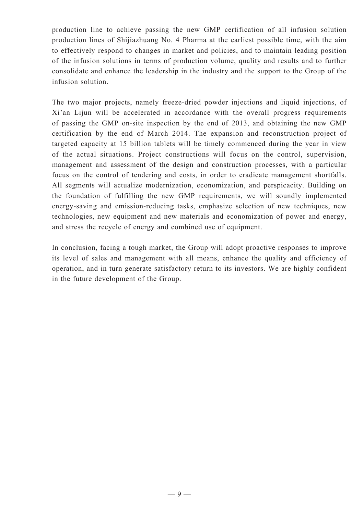production line to achieve passing the new GMP certification of all infusion solution production lines of Shijiazhuang No. 4 Pharma at the earliest possible time, with the aim to effectively respond to changes in market and policies, and to maintain leading position of the infusion solutions in terms of production volume, quality and results and to further consolidate and enhance the leadership in the industry and the support to the Group of the infusion solution.

The two major projects, namely freeze-dried powder injections and liquid injections, of Xi'an Lijun will be accelerated in accordance with the overall progress requirements of passing the GMP on-site inspection by the end of 2013, and obtaining the new GMP certification by the end of March 2014. The expansion and reconstruction project of targeted capacity at 15 billion tablets will be timely commenced during the year in view of the actual situations. Project constructions will focus on the control, supervision, management and assessment of the design and construction processes, with a particular focus on the control of tendering and costs, in order to eradicate management shortfalls. All segments will actualize modernization, economization, and perspicacity. Building on the foundation of fulfilling the new GMP requirements, we will soundly implemented energy-saving and emission-reducing tasks, emphasize selection of new techniques, new technologies, new equipment and new materials and economization of power and energy, and stress the recycle of energy and combined use of equipment.

In conclusion, facing a tough market, the Group will adopt proactive responses to improve its level of sales and management with all means, enhance the quality and efficiency of operation, and in turn generate satisfactory return to its investors. We are highly confident in the future development of the Group.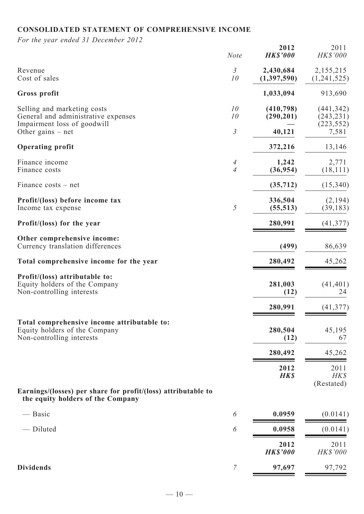# **CONSOLIDATED STATEMENT OF COMPREHENSIVE INCOME**

*For the year ended 31 December 2012*

|                                                                                                           | <b>Note</b>          | 2012<br><b>HK\$'000</b>  | 2011<br>HK\$'000                       |
|-----------------------------------------------------------------------------------------------------------|----------------------|--------------------------|----------------------------------------|
| Revenue<br>Cost of sales                                                                                  | $\mathfrak{Z}$<br>10 | 2,430,684<br>(1,397,590) | 2,155,215<br>(1,241,525)               |
| Gross profit                                                                                              |                      | 1,033,094                | 913,690                                |
| Selling and marketing costs<br>General and administrative expenses<br>Impairment loss of goodwill         | 10<br>10             | (410,798)<br>(290, 201)  | (441, 342)<br>(243, 231)<br>(223, 552) |
| Other gains $-$ net                                                                                       | $\mathfrak{Z}$       | 40,121                   | 7,581                                  |
| <b>Operating profit</b>                                                                                   |                      | 372,216                  | 13,146                                 |
| Finance income<br>Finance costs                                                                           | 4<br>$\overline{A}$  | 1,242<br>(36, 954)       | 2,771<br>(18, 111)                     |
| Finance costs – net                                                                                       |                      | (35,712)                 | (15, 340)                              |
| Profit/(loss) before income tax<br>Income tax expense                                                     | 5                    | 336,504<br>(55, 513)     | (2,194)<br>(39, 183)                   |
| Profit/(loss) for the year                                                                                |                      | 280,991                  | (41, 377)                              |
| Other comprehensive income:<br>Currency translation differences                                           |                      | (499)                    | 86,639                                 |
| Total comprehensive income for the year                                                                   |                      | 280,492                  | 45,262                                 |
| Profit/(loss) attributable to:<br>Equity holders of the Company<br>Non-controlling interests              |                      | 281,003<br>(12)          | (41, 401)<br>24                        |
|                                                                                                           |                      | 280,991                  | (41, 377)                              |
| Total comprehensive income attributable to:<br>Equity holders of the Company<br>Non-controlling interests |                      | 280,504<br>(12)          | 45,195<br>67                           |
|                                                                                                           |                      | 280,492                  | 45,262                                 |
|                                                                                                           |                      | 2012<br><b>HK\$</b>      | 2011<br>HK\$<br>(Restated)             |
| Earnings/(losses) per share for profit/(loss) attributable to<br>the equity holders of the Company        |                      |                          |                                        |
| — Basic                                                                                                   | 6                    | 0.0959                   | (0.0141)                               |
| - Diluted                                                                                                 | 6                    | 0.0958                   | (0.0141)                               |
|                                                                                                           |                      | 2012<br><b>HK\$'000</b>  | 2011<br><b>HK\$'000</b>                |
| <b>Dividends</b>                                                                                          | $\overline{7}$       | 97,697                   | 97,792                                 |
|                                                                                                           |                      |                          |                                        |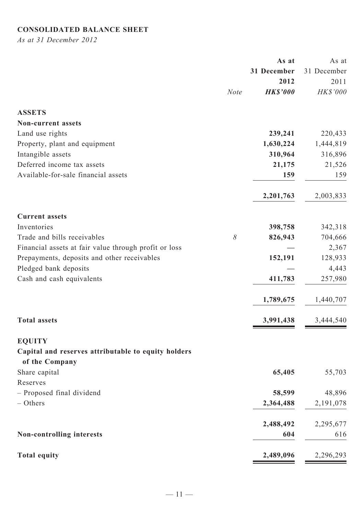# **CONSOLIDATED BALANCE SHEET**

*As at 31 December 2012*

|                                                       |             | As at           | As at       |
|-------------------------------------------------------|-------------|-----------------|-------------|
|                                                       |             | 31 December     | 31 December |
|                                                       |             | 2012            | 2011        |
|                                                       | <b>Note</b> | <b>HK\$'000</b> | HK\$'000    |
| <b>ASSETS</b>                                         |             |                 |             |
| <b>Non-current assets</b>                             |             |                 |             |
| Land use rights                                       |             | 239,241         | 220,433     |
| Property, plant and equipment                         |             | 1,630,224       | 1,444,819   |
| Intangible assets                                     |             | 310,964         | 316,896     |
| Deferred income tax assets                            |             | 21,175          | 21,526      |
| Available-for-sale financial assets                   |             | 159             | 159         |
|                                                       |             | 2,201,763       | 2,003,833   |
| <b>Current assets</b>                                 |             |                 |             |
| Inventories                                           |             | 398,758         | 342,318     |
| Trade and bills receivables                           | $\delta$    | 826,943         | 704,666     |
| Financial assets at fair value through profit or loss |             |                 | 2,367       |
| Prepayments, deposits and other receivables           |             | 152,191         | 128,933     |
| Pledged bank deposits                                 |             |                 | 4,443       |
| Cash and cash equivalents                             |             | 411,783         | 257,980     |
|                                                       |             | 1,789,675       | 1,440,707   |
| <b>Total assets</b>                                   |             | 3,991,438       | 3,444,540   |
| <b>EQUITY</b>                                         |             |                 |             |
| Capital and reserves attributable to equity holders   |             |                 |             |
| of the Company                                        |             |                 |             |
| Share capital                                         |             | 65,405          | 55,703      |
| Reserves                                              |             |                 |             |
| - Proposed final dividend                             |             | 58,599          | 48,896      |
| $-$ Others                                            |             | 2,364,488       | 2,191,078   |
|                                                       |             | 2,488,492       | 2,295,677   |
| <b>Non-controlling interests</b>                      |             | 604             | 616         |
| <b>Total equity</b>                                   |             | 2,489,096       | 2,296,293   |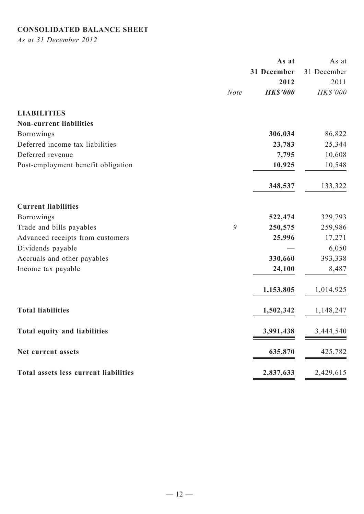# **CONSOLIDATED BALANCE SHEET**

*As at 31 December 2012*

|                                       |             | As at           | As at       |
|---------------------------------------|-------------|-----------------|-------------|
|                                       |             | 31 December     | 31 December |
|                                       |             | 2012            | 2011        |
|                                       | <b>Note</b> | <b>HK\$'000</b> | HK\$'000    |
| <b>LIABILITIES</b>                    |             |                 |             |
| <b>Non-current liabilities</b>        |             |                 |             |
| <b>Borrowings</b>                     |             | 306,034         | 86,822      |
| Deferred income tax liabilities       |             | 23,783          | 25,344      |
| Deferred revenue                      |             | 7,795           | 10,608      |
| Post-employment benefit obligation    |             | 10,925          | 10,548      |
|                                       |             | 348,537         | 133,322     |
| <b>Current liabilities</b>            |             |                 |             |
| <b>Borrowings</b>                     |             | 522,474         | 329,793     |
| Trade and bills payables              | 9           | 250,575         | 259,986     |
| Advanced receipts from customers      |             | 25,996          | 17,271      |
| Dividends payable                     |             |                 | 6,050       |
| Accruals and other payables           |             | 330,660         | 393,338     |
| Income tax payable                    |             | 24,100          | 8,487       |
|                                       |             | 1,153,805       | 1,014,925   |
| <b>Total liabilities</b>              |             | 1,502,342       | 1,148,247   |
| <b>Total equity and liabilities</b>   |             | 3,991,438       | 3,444,540   |
| Net current assets                    |             | 635,870         | 425,782     |
| Total assets less current liabilities |             | 2,837,633       | 2,429,615   |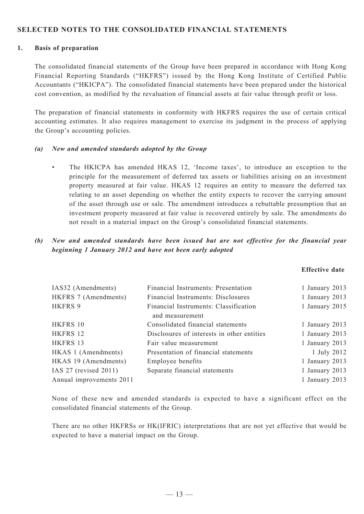### **SELECTED NOTES TO THE CONSOLIDATED FINANCIAL STATEMENTS**

#### **1. Basis of preparation**

The consolidated financial statements of the Group have been prepared in accordance with Hong Kong Financial Reporting Standards ("HKFRS") issued by the Hong Kong Institute of Certified Public Accountants ("HKICPA"). The consolidated financial statements have been prepared under the historical cost convention, as modified by the revaluation of financial assets at fair value through profit or loss.

The preparation of financial statements in conformity with HKFRS requires the use of certain critical accounting estimates. It also requires management to exercise its judgment in the process of applying the Group's accounting policies.

#### *(a) New and amended standards adopted by the Group*

• The HKICPA has amended HKAS 12, 'Income taxes', to introduce an exception to the principle for the measurement of deferred tax assets or liabilities arising on an investment property measured at fair value. HKAS 12 requires an entity to measure the deferred tax relating to an asset depending on whether the entity expects to recover the carrying amount of the asset through use or sale. The amendment introduces a rebuttable presumption that an investment property measured at fair value is recovered entirely by sale. The amendments do not result in a material impact on the Group's consolidated financial statements.

## *(b) New and amended standards have been issued but are not effective for the financial year beginning 1 January 2012 and have not been early adopted*

**Effective date**

| IAS32 (Amendments)       | Financial Instruments: Presentation        | 1 January 2013 |
|--------------------------|--------------------------------------------|----------------|
| HKFRS 7 (Amendments)     | Financial Instruments: Disclosures         | 1 January 2013 |
| <b>HKFRS 9</b>           | Financial Instruments: Classification      | 1 January 2015 |
|                          | and measurement                            |                |
| HKFRS 10                 | Consolidated financial statements          | 1 January 2013 |
| HKFRS 12                 | Disclosures of interests in other entities | 1 January 2013 |
| HKFRS 13                 | Fair value measurement                     | 1 January 2013 |
| HKAS 1 (Amendments)      | Presentation of financial statements       | 1 July 2012    |
| HKAS 19 (Amendments)     | Employee benefits                          | 1 January 2013 |
| IAS 27 (revised 2011)    | Separate financial statements              | 1 January 2013 |
| Annual improvements 2011 |                                            | 1 January 2013 |
|                          |                                            |                |

None of these new and amended standards is expected to have a significant effect on the consolidated financial statements of the Group.

There are no other HKFRSs or HK(IFRIC) interpretations that are not yet effective that would be expected to have a material impact on the Group.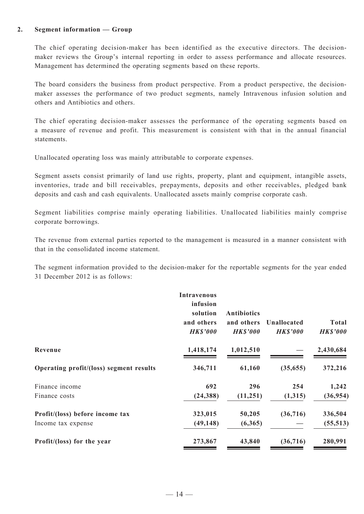#### **2. Segment information — Group**

The chief operating decision-maker has been identified as the executive directors. The decisionmaker reviews the Group's internal reporting in order to assess performance and allocate resources. Management has determined the operating segments based on these reports.

The board considers the business from product perspective. From a product perspective, the decisionmaker assesses the performance of two product segments, namely Intravenous infusion solution and others and Antibiotics and others.

The chief operating decision-maker assesses the performance of the operating segments based on a measure of revenue and profit. This measurement is consistent with that in the annual financial statements.

Unallocated operating loss was mainly attributable to corporate expenses.

Segment assets consist primarily of land use rights, property, plant and equipment, intangible assets, inventories, trade and bill receivables, prepayments, deposits and other receivables, pledged bank deposits and cash and cash equivalents. Unallocated assets mainly comprise corporate cash.

Segment liabilities comprise mainly operating liabilities. Unallocated liabilities mainly comprise corporate borrowings.

The revenue from external parties reported to the management is measured in a manner consistent with that in the consolidated income statement.

The segment information provided to the decision-maker for the reportable segments for the year ended 31 December 2012 is as follows:

|                                         | <b>Intravenous</b><br>infusion<br>solution<br>and others<br><b>HK\$'000</b> | <b>Antibiotics</b><br>and others<br><b>HK\$'000</b> | Unallocated<br><b>HK\$'000</b> | Total<br><b>HK\$'000</b> |
|-----------------------------------------|-----------------------------------------------------------------------------|-----------------------------------------------------|--------------------------------|--------------------------|
| Revenue                                 | 1,418,174                                                                   | 1,012,510                                           |                                | 2,430,684                |
| Operating profit/(loss) segment results | 346,711                                                                     | 61,160                                              | (35,655)                       | 372,216                  |
| Finance income                          | 692                                                                         | 296                                                 | 254                            | 1,242                    |
| Finance costs                           | (24, 388)                                                                   | (11,251)                                            | (1,315)                        | (36, 954)                |
| Profit/(loss) before income tax         | 323,015                                                                     | 50,205                                              | (36,716)                       | 336,504                  |
| Income tax expense                      | (49, 148)                                                                   | (6,365)                                             |                                | (55, 513)                |
| Profit/(loss) for the year              | 273,867                                                                     | 43,840                                              | (36,716)                       | 280,991                  |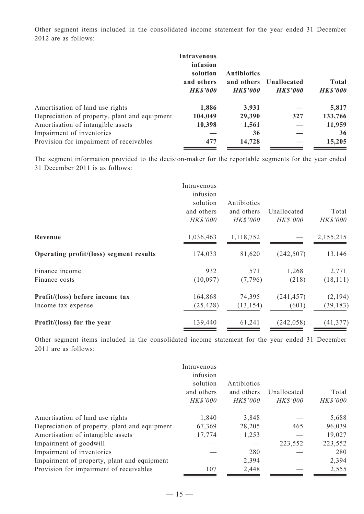Other segment items included in the consolidated income statement for the year ended 31 December 2012 are as follows:

|                                               | <b>Intravenous</b><br>infusion<br>solution<br>and others<br><b>HK\$'000</b> | <b>Antibiotics</b><br>and others<br><b>HK\$'000</b> | Unallocated<br><b>HK\$'000</b> | <b>Total</b><br><b>HK\$'000</b> |
|-----------------------------------------------|-----------------------------------------------------------------------------|-----------------------------------------------------|--------------------------------|---------------------------------|
| Amortisation of land use rights               | 1,886                                                                       | 3,931                                               |                                | 5,817                           |
| Depreciation of property, plant and equipment | 104,049                                                                     | 29,390                                              | 327                            | 133,766                         |
| Amortisation of intangible assets             | 10,398                                                                      | 1,561                                               |                                | 11,959                          |
| Impairment of inventories                     |                                                                             | 36                                                  |                                | 36                              |
| Provision for impairment of receivables       | 477                                                                         | 14,728                                              |                                | 15,205                          |

The segment information provided to the decision-maker for the reportable segments for the year ended 31 December 2011 is as follows:

|                                         | Intravenous<br>infusion<br>solution<br>and others | Antibiotics<br>and others | Unallocated     | Total     |
|-----------------------------------------|---------------------------------------------------|---------------------------|-----------------|-----------|
|                                         | <b>HK\$'000</b>                                   | HK\$'000                  | <b>HK\$'000</b> | HK\$'000  |
| Revenue                                 | 1,036,463                                         | 1,118,752                 |                 | 2,155,215 |
| Operating profit/(loss) segment results | 174,033                                           | 81,620                    | (242, 507)      | 13,146    |
| Finance income                          | 932                                               | 571                       | 1,268           | 2,771     |
| Finance costs                           | (10,097)                                          | (7,796)                   | (218)           | (18, 111) |
| Profit/(loss) before income tax         | 164,868                                           | 74,395                    | (241, 457)      | (2, 194)  |
| Income tax expense                      | (25, 428)                                         | (13, 154)                 | (601)           | (39, 183) |
| Profit/(loss) for the year              | 139,440                                           | 61,241                    | (242, 058)      | (41, 377) |

Other segment items included in the consolidated income statement for the year ended 31 December 2011 are as follows:

|                                               | Intravenous<br>infusion<br>solution<br>and others<br>HK\$'000 | Antibiotics<br>and others<br><b>HK\$'000</b> | Unallocated<br><b>HK\$'000</b> | Total<br>HK\$'000 |
|-----------------------------------------------|---------------------------------------------------------------|----------------------------------------------|--------------------------------|-------------------|
| Amortisation of land use rights               | 1,840                                                         | 3,848                                        |                                | 5,688             |
| Depreciation of property, plant and equipment | 67,369                                                        | 28,205                                       | 465                            | 96,039            |
| Amortisation of intangible assets             | 17,774                                                        | 1,253                                        |                                | 19,027            |
| Impairment of goodwill                        |                                                               |                                              | 223,552                        | 223,552           |
| Impairment of inventories                     |                                                               | 280                                          |                                | 280               |
| Impairment of property, plant and equipment   |                                                               | 2,394                                        |                                | 2,394             |
| Provision for impairment of receivables       | 107                                                           | 2,448                                        |                                | 2,555             |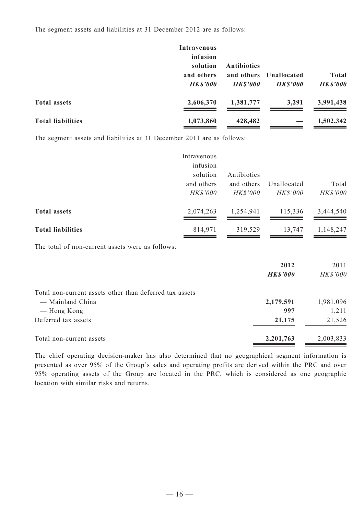The segment assets and liabilities at 31 December 2012 are as follows:

|                          | Intravenous<br>infusion<br>solution<br>and others<br><b>HK\$'000</b> | <b>Antibiotics</b><br><b>HKS'000</b> | and others Unallocated<br><b>HK\$'000</b> | <b>Total</b><br><b>HK\$'000</b> |
|--------------------------|----------------------------------------------------------------------|--------------------------------------|-------------------------------------------|---------------------------------|
| <b>Total assets</b>      | 2,606,370                                                            | 1,381,777                            | 3,291                                     | 3,991,438                       |
| <b>Total liabilities</b> | 1,073,860                                                            | 428,482                              |                                           | 1,502,342                       |

The segment assets and liabilities at 31 December 2011 are as follows:

|                                                  | Intravenous<br>infusion<br>solution | Antibiotics                   |                                |                       |
|--------------------------------------------------|-------------------------------------|-------------------------------|--------------------------------|-----------------------|
|                                                  | and others<br><b>HK\$'000</b>       | and others<br><b>HK\$'000</b> | Unallocated<br><b>HK\$'000</b> | Total<br>HK\$'000     |
| <b>Total assets</b>                              | 2,074,263                           | 1,254,941                     | 115,336                        | 3,444,540             |
| <b>Total liabilities</b>                         | 814,971                             | 319,529                       | 13,747                         | 1,148,247             |
| The total of non-current assets were as follows: |                                     |                               |                                |                       |
|                                                  |                                     |                               | 2012<br>IIFQ3000               | 2011<br>$IIVQ'$ $000$ |

|                                                         | HKS'UUU   | HKY 000   |
|---------------------------------------------------------|-----------|-----------|
| Total non-current assets other than deferred tax assets |           |           |
| — Mainland China                                        | 2,179,591 | 1,981,096 |
| — Hong Kong                                             | 997       | 1,211     |
| Deferred tax assets                                     | 21,175    | 21,526    |
| Total non-current assets                                | 2,201,763 | 2,003,833 |
|                                                         |           |           |

The chief operating decision-maker has also determined that no geographical segment information is presented as over 95% of the Group's sales and operating profits are derived within the PRC and over 95% operating assets of the Group are located in the PRC, which is considered as one geographic location with similar risks and returns.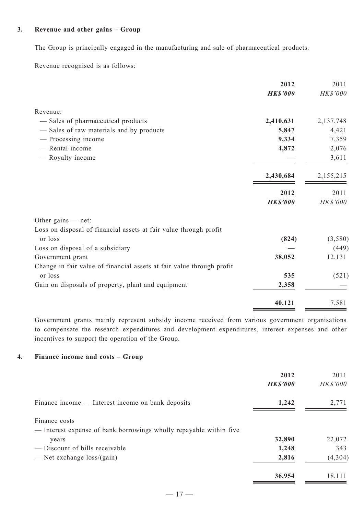#### **3. Revenue and other gains – Group**

The Group is principally engaged in the manufacturing and sale of pharmaceutical products.

Revenue recognised is as follows:

|                                                                       | 2012            | 2011        |
|-----------------------------------------------------------------------|-----------------|-------------|
|                                                                       | <b>HK\$'000</b> | HK\$'000    |
| Revenue:                                                              |                 |             |
| - Sales of pharmaceutical products                                    | 2,410,631       | 2, 137, 748 |
| - Sales of raw materials and by products                              | 5,847           | 4,421       |
| - Processing income                                                   | 9,334           | 7,359       |
| - Rental income                                                       | 4,872           | 2,076       |
| - Royalty income                                                      |                 | 3,611       |
|                                                                       | 2,430,684       | 2,155,215   |
|                                                                       | 2012            | 2011        |
|                                                                       | <b>HK\$'000</b> | HK\$'000    |
| Other gains $-$ net:                                                  |                 |             |
| Loss on disposal of financial assets at fair value through profit     |                 |             |
| or loss                                                               | (824)           | (3,580)     |
| Loss on disposal of a subsidiary                                      |                 | (449)       |
| Government grant                                                      | 38,052          | 12,131      |
| Change in fair value of financial assets at fair value through profit |                 |             |
| or loss                                                               | 535             | (521)       |
| Gain on disposals of property, plant and equipment                    | 2,358           |             |
|                                                                       | 40,121          | 7,581       |
|                                                                       |                 |             |

Government grants mainly represent subsidy income received from various government organisations to compensate the research expenditures and development expenditures, interest expenses and other incentives to support the operation of the Group.

### **4. Finance income and costs – Group**

|                                                                                     | 2012<br><b>HK\$'000</b> | 2011<br><b>HK\$'000</b> |
|-------------------------------------------------------------------------------------|-------------------------|-------------------------|
| Finance income — Interest income on bank deposits                                   | 1,242                   | 2,771                   |
| Finance costs<br>- Interest expense of bank borrowings wholly repayable within five |                         |                         |
| years                                                                               | 32,890                  | 22,072                  |
| — Discount of bills receivable                                                      | 1,248                   | 343                     |
| — Net exchange $loss/(gain)$                                                        | 2,816                   | (4, 304)                |
|                                                                                     | 36,954                  | 18,111                  |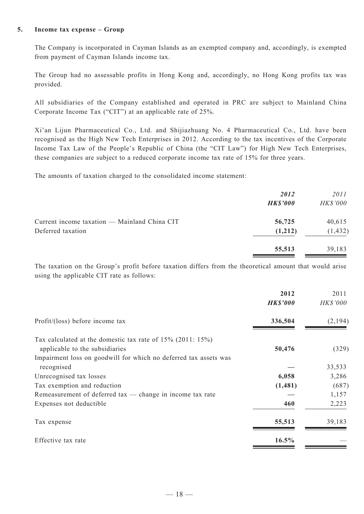#### **5. Income tax expense – Group**

The Company is incorporated in Cayman Islands as an exempted company and, accordingly, is exempted from payment of Cayman Islands income tax.

The Group had no assessable profits in Hong Kong and, accordingly, no Hong Kong profits tax was provided.

All subsidiaries of the Company established and operated in PRC are subject to Mainland China Corporate Income Tax ("CIT") at an applicable rate of 25%.

Xi'an Lijun Pharmaceutical Co., Ltd. and Shijiazhuang No. 4 Pharmaceutical Co., Ltd. have been recognised as the High New Tech Enterprises in 2012. According to the tax incentives of the Corporate Income Tax Law of the People's Republic of China (the "CIT Law") for High New Tech Enterprises, these companies are subject to a reduced corporate income tax rate of 15% for three years.

The amounts of taxation charged to the consolidated income statement:

|                                              | 2012<br><b>HK\$'000</b> | <i>2011</i><br>HK\$'000 |
|----------------------------------------------|-------------------------|-------------------------|
| Current income taxation — Mainland China CIT | 56,725                  | 40,615                  |
| Deferred taxation                            | (1,212)                 | (1, 432)                |
|                                              | 55,513                  | 39,183                  |

The taxation on the Group's profit before taxation differs from the theoretical amount that would arise using the applicable CIT rate as follows:

|                                                                                                     | 2012<br><b>HK\$'000</b> | 2011<br><b>HK\$'000</b> |
|-----------------------------------------------------------------------------------------------------|-------------------------|-------------------------|
| Profit/(loss) before income tax                                                                     | 336,504                 | (2,194)                 |
| Tax calculated at the domestic tax rate of $15\%$ (2011: $15\%$ )<br>applicable to the subsidiaries | 50,476                  | (329)                   |
| Impairment loss on goodwill for which no deferred tax assets was<br>recognised                      |                         | 33,533                  |
| Unrecognised tax losses                                                                             | 6,058                   | 3,286                   |
| Tax exemption and reduction                                                                         | (1,481)                 | (687)                   |
| Remeasurement of deferred $tax$ - change in income tax rate                                         |                         | 1,157                   |
| Expenses not deductible                                                                             | 460                     | 2,223                   |
| Tax expense                                                                                         | 55,513                  | 39,183                  |
| Effective tax rate                                                                                  | 16.5%                   |                         |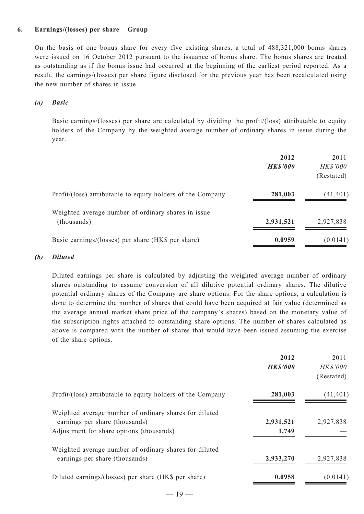#### **6. Earnings/(losses) per share – Group**

On the basis of one bonus share for every five existing shares, a total of 488,321,000 bonus shares were issued on 16 October 2012 pursuant to the issuance of bonus share. The bonus shares are treated as outstanding as if the bonus issue had occurred at the beginning of the earliest period reported. As a result, the earnings/(losses) per share figure disclosed for the previous year has been recalculated using the new number of shares in issue.

#### *(a) Basic*

Basic earnings/(losses) per share are calculated by dividing the profit/(loss) attributable to equity holders of the Company by the weighted average number of ordinary shares in issue during the year.

|                                                                    | 2012<br><b>HK\$'000</b> | 2011<br><b>HK\$'000</b><br>(Restated) |
|--------------------------------------------------------------------|-------------------------|---------------------------------------|
| Profit/(loss) attributable to equity holders of the Company        | 281,003                 | (41, 401)                             |
| Weighted average number of ordinary shares in issue<br>(thousands) | 2,931,521               | 2,927,838                             |
| Basic earnings/(losses) per share (HK\$ per share)                 | 0.0959                  | (0.0141)                              |

#### *(b) Diluted*

Diluted earnings per share is calculated by adjusting the weighted average number of ordinary shares outstanding to assume conversion of all dilutive potential ordinary shares. The dilutive potential ordinary shares of the Company are share options. For the share options, a calculation is done to determine the number of shares that could have been acquired at fair value (determined as the average annual market share price of the company's shares) based on the monetary value of the subscription rights attached to outstanding share options. The number of shares calculated as above is compared with the number of shares that would have been issued assuming the exercise of the share options.

|                                                                                                                                      | 2012<br><b>HK\$'000</b> | 2011<br><b>HK\$'000</b><br>(Restated) |
|--------------------------------------------------------------------------------------------------------------------------------------|-------------------------|---------------------------------------|
| Profit/(loss) attributable to equity holders of the Company                                                                          | 281,003                 | (41, 401)                             |
| Weighted average number of ordinary shares for diluted<br>earnings per share (thousands)<br>Adjustment for share options (thousands) | 2,931,521<br>1,749      | 2,927,838                             |
| Weighted average number of ordinary shares for diluted<br>earnings per share (thousands)                                             | 2,933,270               | 2,927,838                             |
| Diluted earnings/(losses) per share (HK\$ per share)                                                                                 | 0.0958                  | (0.0141)                              |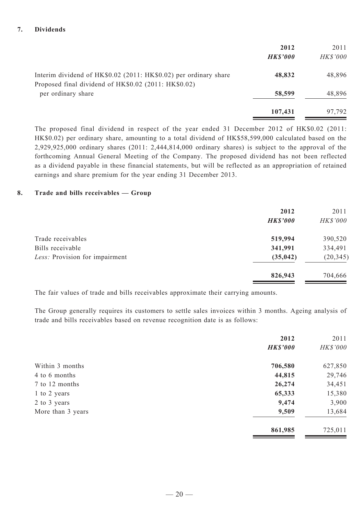|                                                                                                                          | 2012<br><b>HK\$'000</b> | 2011<br><b>HK\$'000</b> |
|--------------------------------------------------------------------------------------------------------------------------|-------------------------|-------------------------|
| Interim dividend of HK\$0.02 (2011: HK\$0.02) per ordinary share<br>Proposed final dividend of HK\$0.02 (2011: HK\$0.02) | 48,832                  | 48,896                  |
| per ordinary share                                                                                                       | 58,599                  | 48,896                  |
|                                                                                                                          | 107,431                 | 97,792                  |

The proposed final dividend in respect of the year ended 31 December 2012 of HK\$0.02 (2011: HK\$0.02) per ordinary share, amounting to a total dividend of HK\$58,599,000 calculated based on the 2,929,925,000 ordinary shares (2011: 2,444,814,000 ordinary shares) is subject to the approval of the forthcoming Annual General Meeting of the Company. The proposed dividend has not been reflected as a dividend payable in these financial statements, but will be reflected as an appropriation of retained earnings and share premium for the year ending 31 December 2013.

#### **8. Trade and bills receivables — Group**

|                                | 2012            | 2011      |
|--------------------------------|-----------------|-----------|
|                                | <b>HK\$'000</b> | HK\$'000  |
| Trade receivables              | 519,994         | 390,520   |
| Bills receivable               | 341,991         | 334,491   |
| Less: Provision for impairment | (35, 042)       | (20, 345) |
|                                | 826,943         | 704,666   |

The fair values of trade and bills receivables approximate their carrying amounts.

The Group generally requires its customers to settle sales invoices within 3 months. Ageing analysis of trade and bills receivables based on revenue recognition date is as follows:

|                   | 2012            | 2011     |
|-------------------|-----------------|----------|
|                   | <b>HK\$'000</b> | HK\$'000 |
| Within 3 months   | 706,580         | 627,850  |
| 4 to 6 months     | 44,815          | 29,746   |
| 7 to 12 months    | 26,274          | 34,451   |
| 1 to 2 years      | 65,333          | 15,380   |
| 2 to 3 years      | 9,474           | 3,900    |
| More than 3 years | 9,509           | 13,684   |
|                   | 861,985         | 725,011  |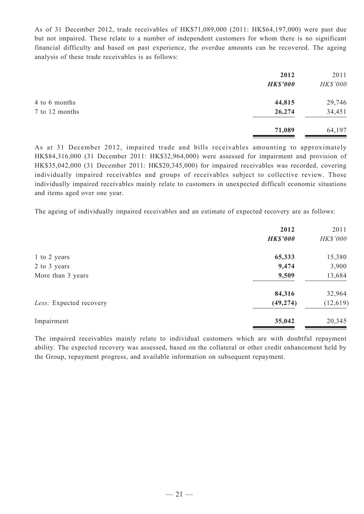As of 31 December 2012, trade receivables of HK\$71,089,000 (2011: HK\$64,197,000) were past due but not impaired. These relate to a number of independent customers for whom there is no significant financial difficulty and based on past experience, the overdue amounts can be recovered. The ageing analysis of these trade receivables is as follows:

|                | 2012            | 2011     |
|----------------|-----------------|----------|
|                | <b>HK\$'000</b> | HK\$'000 |
| 4 to 6 months  | 44,815          | 29,746   |
| 7 to 12 months | 26,274          | 34,451   |
|                | 71,089          | 64,197   |

As at 31 December 2012, impaired trade and bills receivables amounting to approximately HK\$84,316,000 (31 December 2011: HK\$32,964,000) were assessed for impairment and provision of HK\$35,042,000 (31 December 2011: HK\$20,345,000) for impaired receivables was recorded, covering individually impaired receivables and groups of receivables subject to collective review. Those individually impaired receivables mainly relate to customers in unexpected difficult economic situations and items aged over one year.

The ageing of individually impaired receivables and an estimate of expected recovery are as follows:

| 2012            | 2011      |
|-----------------|-----------|
| <b>HK\$'000</b> | HK\$'000  |
| 65,333          | 15,380    |
| 9,474           | 3,900     |
| 9,509           | 13,684    |
| 84,316          | 32,964    |
| (49, 274)       | (12, 619) |
| 35,042          | 20,345    |
|                 |           |

The impaired receivables mainly relate to individual customers which are with doubtful repayment ability. The expected recovery was assessed, based on the collateral or other credit enhancement held by the Group, repayment progress, and available information on subsequent repayment.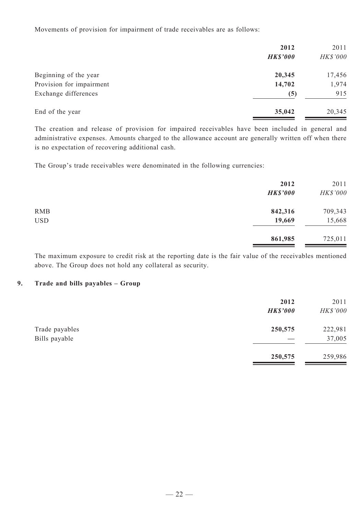Movements of provision for impairment of trade receivables are as follows:

|                          | 2012<br><b>HK\$'000</b> | 2011<br>HK\$'000 |
|--------------------------|-------------------------|------------------|
| Beginning of the year    | 20,345                  | 17,456           |
| Provision for impairment | 14,702                  | 1,974            |
| Exchange differences     | (5)                     | 915              |
| End of the year          | 35,042                  | 20,345           |

The creation and release of provision for impaired receivables have been included in general and administrative expenses. Amounts charged to the allowance account are generally written off when there is no expectation of recovering additional cash.

The Group's trade receivables were denominated in the following currencies:

|            | 2012<br><b>HK\$'000</b> | 2011<br>HK\$'000 |
|------------|-------------------------|------------------|
| <b>RMB</b> | 842,316                 | 709,343          |
| <b>USD</b> | 19,669                  | 15,668           |
|            | 861,985                 | 725,011          |

The maximum exposure to credit risk at the reporting date is the fair value of the receivables mentioned above. The Group does not hold any collateral as security.

#### **9. Trade and bills payables – Group**

|                                 | 2012<br><b>HK\$'000</b> | 2011<br>HK\$'000  |
|---------------------------------|-------------------------|-------------------|
| Trade payables<br>Bills payable | 250,575                 | 222,981<br>37,005 |
|                                 | 250,575                 | 259,986           |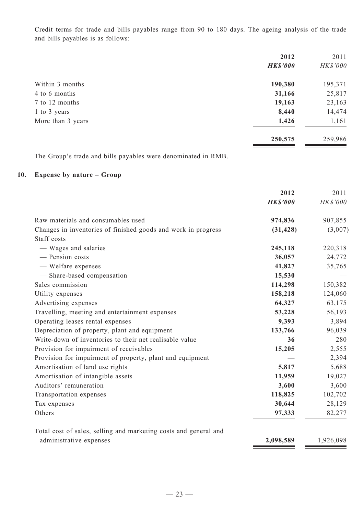Credit terms for trade and bills payables range from 90 to 180 days. The ageing analysis of the trade and bills payables is as follows:

|                   | 2012            | 2011     |
|-------------------|-----------------|----------|
|                   | <b>HK\$'000</b> | HK\$'000 |
| Within 3 months   | 190,380         | 195,371  |
| 4 to 6 months     | 31,166          | 25,817   |
| 7 to 12 months    | 19,163          | 23,163   |
| 1 to 3 years      | 8,440           | 14,474   |
| More than 3 years | 1,426           | 1,161    |
|                   | 250,575         | 259,986  |

The Group's trade and bills payables were denominated in RMB.

# **10. Expense by nature – Group**

|                                                                  | 2012            | 2011      |
|------------------------------------------------------------------|-----------------|-----------|
|                                                                  | <b>HK\$'000</b> | HK\$'000  |
| Raw materials and consumables used                               | 974,836         | 907,855   |
| Changes in inventories of finished goods and work in progress    | (31, 428)       | (3,007)   |
| Staff costs                                                      |                 |           |
| - Wages and salaries                                             | 245,118         | 220,318   |
| - Pension costs                                                  | 36,057          | 24,772    |
| - Welfare expenses                                               | 41,827          | 35,765    |
| - Share-based compensation                                       | 15,530          |           |
| Sales commission                                                 | 114,298         | 150,382   |
| Utility expenses                                                 | 158,218         | 124,060   |
| Advertising expenses                                             | 64,327          | 63,175    |
| Travelling, meeting and entertainment expenses                   | 53,228          | 56,193    |
| Operating leases rental expenses                                 | 9,393           | 3,894     |
| Depreciation of property, plant and equipment                    | 133,766         | 96,039    |
| Write-down of inventories to their net realisable value          | 36              | 280       |
| Provision for impairment of receivables                          | 15,205          | 2,555     |
| Provision for impairment of property, plant and equipment        |                 | 2,394     |
| Amortisation of land use rights                                  | 5,817           | 5,688     |
| Amortisation of intangible assets                                | 11,959          | 19,027    |
| Auditors' remuneration                                           | 3,600           | 3,600     |
| Transportation expenses                                          | 118,825         | 102,702   |
| Tax expenses                                                     | 30,644          | 28,129    |
| Others                                                           | 97,333          | 82,277    |
| Total cost of sales, selling and marketing costs and general and |                 |           |
| administrative expenses                                          | 2,098,589       | 1,926,098 |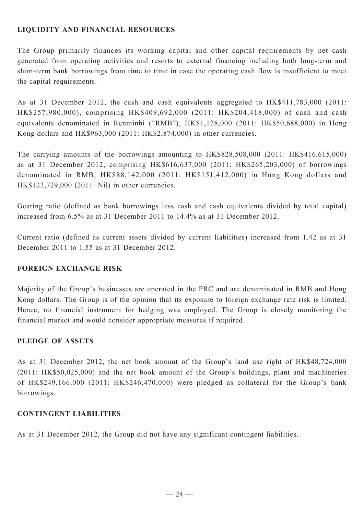# **LIQUIDITY AND FINANCIAL RESOURCES**

The Group primarily finances its working capital and other capital requirements by net cash generated from operating activities and resorts to external financing including both long-term and short-term bank borrowings from time to time in case the operating cash flow is insufficient to meet the capital requirements.

As at 31 December 2012, the cash and cash equivalents aggregated to HK\$411,783,000 (2011: HK\$257,980,000), comprising HK\$409,692,000 (2011: HK\$204,418,000) of cash and cash equivalents denominated in Renminbi ("RMB"), HK\$1,128,000 (2011: HK\$50,688,000) in Hong Kong dollars and HK\$963,000 (2011: HK\$2,874,000) in other currencies.

The carrying amounts of the borrowings amounting to HK\$828,508,000 (2011: HK\$416,615,000) as at 31 December 2012, comprising HK\$616,637,000 (2011: HK\$265,203,000) of borrowings denominated in RMB, HK\$88,142,000 (2011: HK\$151,412,000) in Hong Kong dollars and HK\$123,729,000 (2011: Nil) in other currencies.

Gearing ratio (defined as bank borrowings less cash and cash equivalents divided by total capital) increased from 6.5% as at 31 December 2011 to 14.4% as at 31 December 2012.

Current ratio (defined as current assets divided by current liabilities) increased from 1.42 as at 31 December 2011 to 1.55 as at 31 December 2012.

# **FOREIGN EXCHANGE RISK**

Majority of the Group's businesses are operated in the PRC and are denominated in RMB and Hong Kong dollars. The Group is of the opinion that its exposure to foreign exchange rate risk is limited. Hence, no financial instrument for hedging was employed. The Group is closely monitoring the financial market and would consider appropriate measures if required.

# **PLEDGE OF ASSETS**

As at 31 December 2012, the net book amount of the Group's land use right of HK\$48,724,000 (2011: HK\$50,025,000) and the net book amount of the Group's buildings, plant and machineries of HK\$249,166,000 (2011: HK\$246,470,000) were pledged as collateral for the Group's bank borrowings.

# **CONTINGENT LIABILITIES**

As at 31 December 2012, the Group did not have any significant contingent liabilities.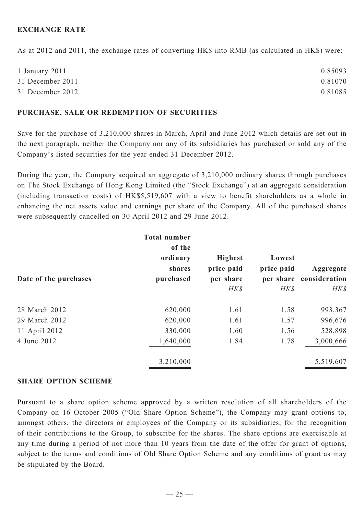## **EXCHANGE RATE**

As at 2012 and 2011, the exchange rates of converting HK\$ into RMB (as calculated in HK\$) were:

| 1 January 2011   | 0.85093 |
|------------------|---------|
| 31 December 2011 | 0.81070 |
| 31 December 2012 | 0.81085 |

#### **PURCHASE, SALE OR REDEMPTION OF SECURITIES**

Save for the purchase of 3,210,000 shares in March, April and June 2012 which details are set out in the next paragraph, neither the Company nor any of its subsidiaries has purchased or sold any of the Company's listed securities for the year ended 31 December 2012.

During the year, the Company acquired an aggregate of 3,210,000 ordinary shares through purchases on The Stock Exchange of Hong Kong Limited (the "Stock Exchange") at an aggregate consideration (including transaction costs) of HK\$5,519,607 with a view to benefit shareholders as a whole in enhancing the net assets value and earnings per share of the Company. All of the purchased shares were subsequently cancelled on 30 April 2012 and 29 June 2012.

| <b>Total number</b><br>of the |                     |                                 |                                               |
|-------------------------------|---------------------|---------------------------------|-----------------------------------------------|
| ordinary                      | <b>Highest</b>      | Lowest                          |                                               |
|                               |                     |                                 | Aggregate                                     |
|                               |                     |                                 |                                               |
|                               |                     |                                 | HK\$                                          |
| 620,000                       | 1.61                | 1.58                            | 993,367                                       |
| 620,000                       | 1.61                | 1.57                            | 996,676                                       |
| 330,000                       | 1.60                | 1.56                            | 528,898                                       |
| 1,640,000                     | 1.84                | 1.78                            | 3,000,666                                     |
| 3,210,000                     |                     |                                 | 5,519,607                                     |
|                               | shares<br>purchased | price paid<br>per share<br>HK\$ | price paid<br>per share consideration<br>HK\$ |

### **SHARE OPTION SCHEME**

Pursuant to a share option scheme approved by a written resolution of all shareholders of the Company on 16 October 2005 ("Old Share Option Scheme"), the Company may grant options to, amongst others, the directors or employees of the Company or its subsidiaries, for the recognition of their contributions to the Group, to subscribe for the shares. The share options are exercisable at any time during a period of not more than 10 years from the date of the offer for grant of options, subject to the terms and conditions of Old Share Option Scheme and any conditions of grant as may be stipulated by the Board.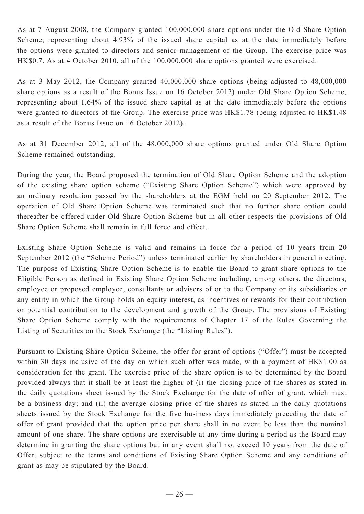As at 7 August 2008, the Company granted 100,000,000 share options under the Old Share Option Scheme, representing about 4.93% of the issued share capital as at the date immediately before the options were granted to directors and senior management of the Group. The exercise price was HK\$0.7. As at 4 October 2010, all of the 100,000,000 share options granted were exercised.

As at 3 May 2012, the Company granted 40,000,000 share options (being adjusted to 48,000,000 share options as a result of the Bonus Issue on 16 October 2012) under Old Share Option Scheme, representing about 1.64% of the issued share capital as at the date immediately before the options were granted to directors of the Group. The exercise price was HK\$1.78 (being adjusted to HK\$1.48 as a result of the Bonus Issue on 16 October 2012).

As at 31 December 2012, all of the 48,000,000 share options granted under Old Share Option Scheme remained outstanding.

During the year, the Board proposed the termination of Old Share Option Scheme and the adoption of the existing share option scheme ("Existing Share Option Scheme") which were approved by an ordinary resolution passed by the shareholders at the EGM held on 20 September 2012. The operation of Old Share Option Scheme was terminated such that no further share option could thereafter be offered under Old Share Option Scheme but in all other respects the provisions of Old Share Option Scheme shall remain in full force and effect.

Existing Share Option Scheme is valid and remains in force for a period of 10 years from 20 September 2012 (the "Scheme Period") unless terminated earlier by shareholders in general meeting. The purpose of Existing Share Option Scheme is to enable the Board to grant share options to the Eligible Person as defined in Existing Share Option Scheme including, among others, the directors, employee or proposed employee, consultants or advisers of or to the Company or its subsidiaries or any entity in which the Group holds an equity interest, as incentives or rewards for their contribution or potential contribution to the development and growth of the Group. The provisions of Existing Share Option Scheme comply with the requirements of Chapter 17 of the Rules Governing the Listing of Securities on the Stock Exchange (the "Listing Rules").

Pursuant to Existing Share Option Scheme, the offer for grant of options ("Offer") must be accepted within 30 days inclusive of the day on which such offer was made, with a payment of HK\$1.00 as consideration for the grant. The exercise price of the share option is to be determined by the Board provided always that it shall be at least the higher of (i) the closing price of the shares as stated in the daily quotations sheet issued by the Stock Exchange for the date of offer of grant, which must be a business day; and (ii) the average closing price of the shares as stated in the daily quotations sheets issued by the Stock Exchange for the five business days immediately preceding the date of offer of grant provided that the option price per share shall in no event be less than the nominal amount of one share. The share options are exercisable at any time during a period as the Board may determine in granting the share options but in any event shall not exceed 10 years from the date of Offer, subject to the terms and conditions of Existing Share Option Scheme and any conditions of grant as may be stipulated by the Board.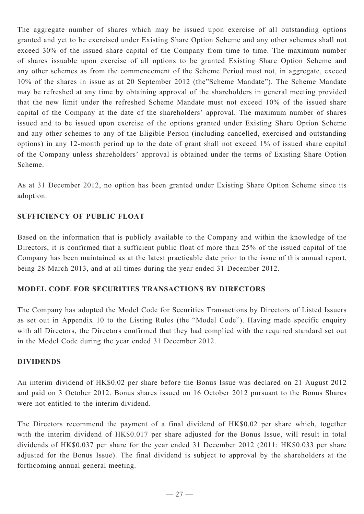The aggregate number of shares which may be issued upon exercise of all outstanding options granted and yet to be exercised under Existing Share Option Scheme and any other schemes shall not exceed 30% of the issued share capital of the Company from time to time. The maximum number of shares issuable upon exercise of all options to be granted Existing Share Option Scheme and any other schemes as from the commencement of the Scheme Period must not, in aggregate, exceed 10% of the shares in issue as at 20 September 2012 (the"Scheme Mandate"). The Scheme Mandate may be refreshed at any time by obtaining approval of the shareholders in general meeting provided that the new limit under the refreshed Scheme Mandate must not exceed 10% of the issued share capital of the Company at the date of the shareholders' approval. The maximum number of shares issued and to be issued upon exercise of the options granted under Existing Share Option Scheme and any other schemes to any of the Eligible Person (including cancelled, exercised and outstanding options) in any 12-month period up to the date of grant shall not exceed 1% of issued share capital of the Company unless shareholders' approval is obtained under the terms of Existing Share Option Scheme.

As at 31 December 2012, no option has been granted under Existing Share Option Scheme since its adoption.

# **SUFFICIENCY OF PUBLIC FLOAT**

Based on the information that is publicly available to the Company and within the knowledge of the Directors, it is confirmed that a sufficient public float of more than 25% of the issued capital of the Company has been maintained as at the latest practicable date prior to the issue of this annual report, being 28 March 2013, and at all times during the year ended 31 December 2012.

# **Model Code for Securities Transactions by Directors**

The Company has adopted the Model Code for Securities Transactions by Directors of Listed Issuers as set out in Appendix 10 to the Listing Rules (the "Model Code"). Having made specific enquiry with all Directors, the Directors confirmed that they had complied with the required standard set out in the Model Code during the year ended 31 December 2012.

## **DIVIDENDS**

An interim dividend of HK\$0.02 per share before the Bonus Issue was declared on 21 August 2012 and paid on 3 October 2012. Bonus shares issued on 16 October 2012 pursuant to the Bonus Shares were not entitled to the interim dividend.

The Directors recommend the payment of a final dividend of HK\$0.02 per share which, together with the interim dividend of HK\$0.017 per share adjusted for the Bonus Issue, will result in total dividends of HK\$0.037 per share for the year ended 31 December 2012 (2011: HK\$0.033 per share adjusted for the Bonus Issue). The final dividend is subject to approval by the shareholders at the forthcoming annual general meeting.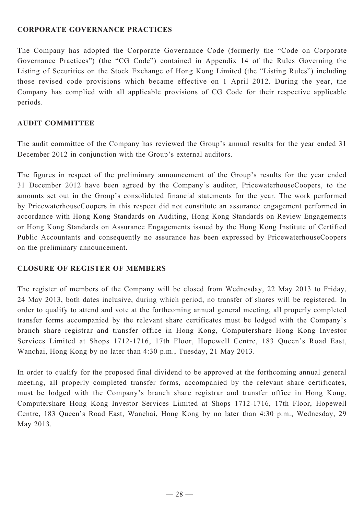## **Corporate Governance Practices**

The Company has adopted the Corporate Governance Code (formerly the "Code on Corporate Governance Practices") (the "CG Code") contained in Appendix 14 of the Rules Governing the Listing of Securities on the Stock Exchange of Hong Kong Limited (the "Listing Rules") including those revised code provisions which became effective on 1 April 2012. During the year, the Company has complied with all applicable provisions of CG Code for their respective applicable periods.

## **AUDIT COMMITTEE**

The audit committee of the Company has reviewed the Group's annual results for the year ended 31 December 2012 in conjunction with the Group's external auditors.

The figures in respect of the preliminary announcement of the Group's results for the year ended 31 December 2012 have been agreed by the Company's auditor, PricewaterhouseCoopers, to the amounts set out in the Group's consolidated financial statements for the year. The work performed by PricewaterhouseCoopers in this respect did not constitute an assurance engagement performed in accordance with Hong Kong Standards on Auditing, Hong Kong Standards on Review Engagements or Hong Kong Standards on Assurance Engagements issued by the Hong Kong Institute of Certified Public Accountants and consequently no assurance has been expressed by PricewaterhouseCoopers on the preliminary announcement.

## **CLOSURE OF REGISTER OF MEMBERS**

The register of members of the Company will be closed from Wednesday, 22 May 2013 to Friday, 24 May 2013, both dates inclusive, during which period, no transfer of shares will be registered. In order to qualify to attend and vote at the forthcoming annual general meeting, all properly completed transfer forms accompanied by the relevant share certificates must be lodged with the Company's branch share registrar and transfer office in Hong Kong, Computershare Hong Kong Investor Services Limited at Shops 1712-1716, 17th Floor, Hopewell Centre, 183 Queen's Road East, Wanchai, Hong Kong by no later than 4:30 p.m., Tuesday, 21 May 2013.

In order to qualify for the proposed final dividend to be approved at the forthcoming annual general meeting, all properly completed transfer forms, accompanied by the relevant share certificates, must be lodged with the Company's branch share registrar and transfer office in Hong Kong, Computershare Hong Kong Investor Services Limited at Shops 1712-1716, 17th Floor, Hopewell Centre, 183 Queen's Road East, Wanchai, Hong Kong by no later than 4:30 p.m., Wednesday, 29 May 2013.